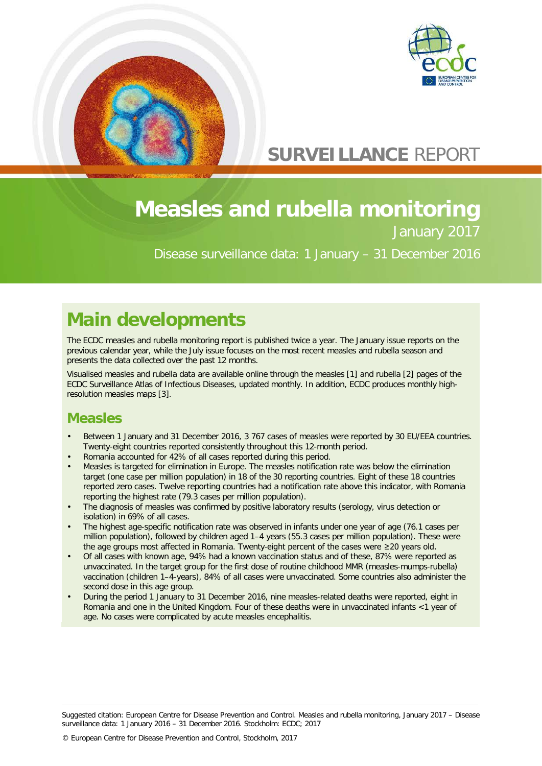



# **SURVEILLANCE** REPORT

# **Measles and rubella monitoring** January 2017

Disease surveillance data: 1 January – 31 December 2016

# **Main developments**

The ECDC measles and rubella monitoring report is published twice a year. The January issue reports on the previous calendar year, while the July issue focuses on the most recent measles and rubella season and presents the data collected over the past 12 months.

Visualised measles and rubella data are available online through the [measles](http://atlas.ecdc.europa.eu/public/index.aspx?Dataset=27&HealthTopic=35&GeoResolution=2&TimeResolution=Month&FixDataset=1&FixHealthTopic=0?Instance=MeaslesMonthlyAtlas) [1] and [rubella](http://atlas.ecdc.europa.eu/public/index.aspx?Dataset=27&HealthTopic=45&GeoResolution=2&TimeResolution=Month&FixDataset=1&FixHealthTopic=0&Instance=RubellaMonthlyAtlas) [2] pages of the ECDC Surveillance Atlas of Infectious Diseases, updated monthly. In addition, ECDC produces monthly highresolution measles [maps](http://ecdc.europa.eu/en/healthtopics/measles/epidemiological_data/Pages/measles_maps.aspx) [3].

## **Measles**

- Between 1 January and 31 December 2016, 3 767 cases of measles were reported by 30 EU/EEA countries. Twenty-eight countries reported consistently throughout this 12-month period.
- Romania accounted for 42% of all cases reported during this period.
- Measles is targeted for elimination in Europe. The measles notification rate was below the elimination target (one case per million population) in 18 of the 30 reporting countries. Eight of these 18 countries reported zero cases. Twelve reporting countries had a notification rate above this indicator, with Romania reporting the highest rate (79.3 cases per million population).
- The diagnosis of measles was confirmed by positive laboratory results (serology, virus detection or isolation) in 69% of all cases.
- The highest age-specific notification rate was observed in infants under one year of age (76.1 cases per million population), followed by children aged 1–4 years (55.3 cases per million population). These were the age groups most affected in Romania. Twenty-eight percent of the cases were ≥20 years old.
- Of all cases with known age, 94% had a known vaccination status and of these, 87% were reported as unvaccinated. In the target group for the first dose of routine childhood MMR (measles-mumps-rubella) vaccination (children 1–4-years), 84% of all cases were unvaccinated. Some countries also administer the second dose in this age group.
- During the period 1 January to 31 December 2016, nine measles-related deaths were reported, eight in Romania and one in the United Kingdom. Four of these deaths were in unvaccinated infants <1 year of age. No cases were complicated by acute measles encephalitis.

Suggested citation: European Centre for Disease Prevention and Control. Measles and rubella monitoring, January 2017 – Disease surveillance data: 1 January 2016 – 31 December 2016. Stockholm: ECDC; 2017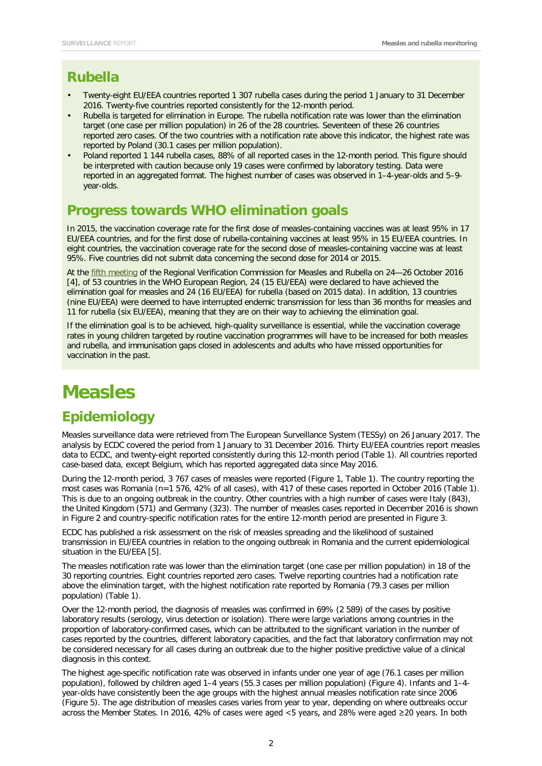### **Rubella**

- Twenty-eight EU/EEA countries reported 1 307 rubella cases during the period 1 January to 31 December 2016. Twenty-five countries reported consistently for the 12-month period.
- Rubella is targeted for elimination in Europe. The rubella notification rate was lower than the elimination target (one case per million population) in 26 of the 28 countries. Seventeen of these 26 countries reported zero cases. Of the two countries with a notification rate above this indicator, the highest rate was reported by Poland (30.1 cases per million population).
- Poland reported 1 144 rubella cases, 88% of all reported cases in the 12-month period. This figure should be interpreted with caution because only 19 cases were confirmed by laboratory testing. Data were reported in an aggregated format. The highest number of cases was observed in 1–4-year-olds and 5–9 year-olds.

## **Progress towards WHO elimination goals**

In 2015, the vaccination coverage rate for the first dose of measles-containing vaccines was at least 95% in 17 EU/EEA countries, and for the first dose of rubella-containing vaccines at least 95% in 15 EU/EEA countries. In eight countries, the vaccination coverage rate for the second dose of measles-containing vaccine was at least 95%. Five countries did not submit data concerning the second dose for 2014 or 2015.

At the [fifth meeting](http://www.euro.who.int/en/health-topics/communicable-diseases/measles-and-rubella/publications/2017/5th-meeting-of-the-european-regional-verification-commission-for-measles-and-rubella-elimination-2017) of the Regional Verification Commission for Measles and Rubella on 24—26 October 2016 [4], of 53 countries in the WHO European Region, 24 (15 EU/EEA) were declared to have achieved the elimination goal for measles and 24 (16 EU/EEA) for rubella (based on 2015 data). In addition, 13 countries (nine EU/EEA) were deemed to have interrupted endemic transmission for less than 36 months for measles and 11 for rubella (six EU/EEA), meaning that they are on their way to achieving the elimination goal.

If the elimination goal is to be achieved, high-quality surveillance is essential, while the vaccination coverage rates in young children targeted by routine vaccination programmes will have to be increased for both measles and rubella, and immunisation gaps closed in adolescents and adults who have missed opportunities for vaccination in the past.

# **Measles**

## **Epidemiology**

Measles surveillance data were retrieved from The European Surveillance System (TESSy) on 26 January 2017. The analysis by ECDC covered the period from 1 January to 31 December 2016. Thirty EU/EEA countries report measles data to ECDC, and twenty-eight reported consistently during this 12-month period (Table 1). All countries reported case-based data, except Belgium, which has reported aggregated data since May 2016.

During the 12-month period, 3 767 cases of measles were reported (Figure 1, Table 1). The country reporting the most cases was Romania (n=1 576, 42% of all cases), with 417 of these cases reported in October 2016 (Table 1). This is due to an ongoing outbreak in the country. Other countries with a high number of cases were Italy (843), the United Kingdom (571) and Germany (323). The number of measles cases reported in December 2016 is shown in Figure 2 and country-specific notification rates for the entire 12-month period are presented in Figure 3.

ECDC has published a risk assessment on the risk of measles spreading and the likelihood of sustained transmission in EU/EEA countries in relation to the ongoing outbreak in Romania and the current epidemiological situation in the EU/EEA [5].

The measles notification rate was lower than the elimination target (one case per million population) in 18 of the 30 reporting countries. Eight countries reported zero cases. Twelve reporting countries had a notification rate above the elimination target, with the highest notification rate reported by Romania (79.3 cases per million population) (Table 1).

Over the 12-month period, the diagnosis of measles was confirmed in 69% (2 589) of the cases by positive laboratory results (serology, virus detection or isolation). There were large variations among countries in the proportion of laboratory-confirmed cases, which can be attributed to the significant variation in the number of cases reported by the countries, different laboratory capacities, and the fact that laboratory confirmation may not be considered necessary for all cases during an outbreak due to the higher positive predictive value of a clinical diagnosis in this context.

The highest age-specific notification rate was observed in infants under one year of age (76.1 cases per million population), followed by children aged 1–4 years (55.3 cases per million population) (Figure 4). Infants and 1–4 year-olds have consistently been the age groups with the highest annual measles notification rate since 2006 (Figure 5). The age distribution of measles cases varies from year to year, depending on where outbreaks occur across the Member States. In 2016, 42% of cases were aged <5 years, and 28% were aged ≥20 years. In both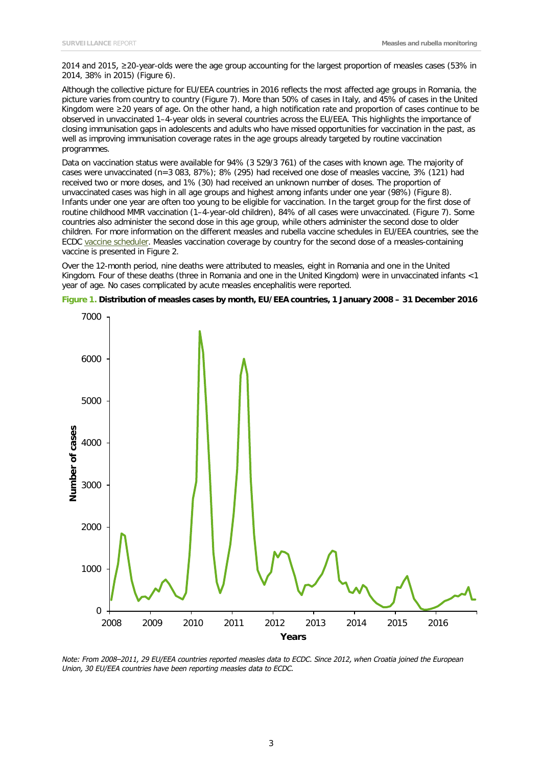2014 and 2015, ≥20-year-olds were the age group accounting for the largest proportion of measles cases (53% in 2014, 38% in 2015) (Figure 6).

Although the collective picture for EU/EEA countries in 2016 reflects the most affected age groups in Romania, the picture varies from country to country (Figure 7). More than 50% of cases in Italy, and 45% of cases in the United Kingdom were ≥20 years of age. On the other hand, a high notification rate and proportion of cases continue to be observed in unvaccinated 1–4-year olds in several countries across the EU/EEA. This highlights the importance of closing immunisation gaps in adolescents and adults who have missed opportunities for vaccination in the past, as well as improving immunisation coverage rates in the age groups already targeted by routine vaccination programmes.

Data on vaccination status were available for 94% (3 529/3 761) of the cases with known age. The majority of cases were unvaccinated (n=3 083, 87%); 8% (295) had received one dose of measles vaccine, 3% (121) had received two or more doses, and 1% (30) had received an unknown number of doses. The proportion of unvaccinated cases was high in all age groups and highest among infants under one year (98%) (Figure 8). Infants under one year are often too young to be eligible for vaccination. In the target group for the first dose of routine childhood MMR vaccination (1–4-year-old children), 84% of all cases were unvaccinated. (Figure 7). Some countries also administer the second dose in this age group, while others administer the second dose to older children. For more information on the different measles and rubella vaccine schedules in EU/EEA countries, see the ECDC [vaccine scheduler.](http://vaccine-schedule.ecdc.europa.eu/Pages/Scheduler.aspx) Measles vaccination coverage by country for the second dose of a measles-containing vaccine is presented in Figure 2.

Over the 12-month period, nine deaths were attributed to measles, eight in Romania and one in the United Kingdom. Four of these deaths (three in Romania and one in the United Kingdom) were in unvaccinated infants <1 year of age. No cases complicated by acute measles encephalitis were reported.



**Figure 1. Distribution of measles cases by month, EU/EEA countries, 1 January 2008 – 31 December 2016**

*Note: From 2008–2011, 29 EU/EEA countries reported measles data to ECDC. Since 2012, when Croatia joined the European Union, 30 EU/EEA countries have been reporting measles data to ECDC.*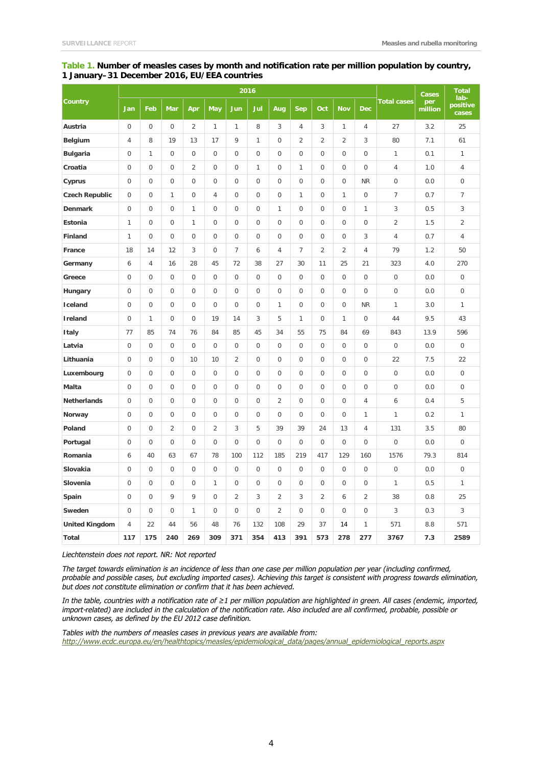#### **Table 1. Number of measles cases by month and notification rate per million population by country, 1 January–31 December 2016, EU/EEA countries**

|                       | 2016                |                     |                |                |                     |                  |              |                     |                  |                  |                     | Cases               | <b>Total</b><br>lab- |                |                   |
|-----------------------|---------------------|---------------------|----------------|----------------|---------------------|------------------|--------------|---------------------|------------------|------------------|---------------------|---------------------|----------------------|----------------|-------------------|
| Country               | Jan                 | Feb                 | Mar            | Apr            | <b>May</b>          | Jun              | Jul          | Aug                 | Sep              | Oct              | <b>Nov</b>          | <b>Dec</b>          | <b>Total cases</b>   | per<br>million | positive<br>cases |
| Austria               | $\mathsf{O}\xspace$ | 0                   | $\mathbf 0$    | 2              | $\mathbf{1}$        | 1                | 8            | 3                   | 4                | 3                | $\mathbf{1}$        | 4                   | 27                   | 3.2            | 25                |
| <b>Belgium</b>        | 4                   | 8                   | 19             | 13             | 17                  | 9                | 1            | $\boldsymbol{0}$    | $\overline{2}$   | $\overline{2}$   | $\overline{2}$      | 3                   | 80                   | 7.1            | 61                |
| <b>Bulgaria</b>       | $\mathbf 0$         | 1                   | $\mathbf 0$    | $\mathbf 0$    | $\mathbf 0$         | $\overline{0}$   | 0            | $\mathbf 0$         | $\overline{0}$   | $\overline{0}$   | $\overline{0}$      | 0                   | 1                    | 0.1            | $\mathbf{1}$      |
| Croatia               | 0                   | $\overline{0}$      | $\mathbf 0$    | $\overline{2}$ | $\mathbf 0$         | $\mathbf 0$      | 1            | $\boldsymbol{0}$    | $\mathbf{1}$     | $\bf 0$          | $\mathbf 0$         | $\mathbf 0$         | $\overline{4}$       | 1.0            | $\overline{4}$    |
| Cyprus                | $\overline{0}$      | $\overline{0}$      | $\mathbf 0$    | $\mathbf 0$    | $\mathbf 0$         | $\overline{0}$   | $\mathbf{0}$ | $\boldsymbol{0}$    | $\boldsymbol{0}$ | $\bf 0$          | $\boldsymbol{0}$    | <b>NR</b>           | $\mathbf 0$          | 0.0            | $\mathbf 0$       |
| <b>Czech Republic</b> | 0                   | 0                   | $\mathbf{1}$   | $\mathbf 0$    | 4                   | 0                | 0            | $\boldsymbol{0}$    | $\mathbf{1}$     | $\mathbf 0$      | $\mathbf{1}$        | $\boldsymbol{0}$    | $\overline{7}$       | 0.7            | $\overline{7}$    |
| <b>Denmark</b>        | $\mathbf 0$         | 0                   | $\mathbf 0$    | $\mathbf{1}$   | $\mathbf 0$         | $\boldsymbol{0}$ | $\mathbf 0$  | 1                   | $\boldsymbol{0}$ | $\mathbf 0$      | $\boldsymbol{0}$    | $\mathbf{1}$        | 3                    | 0.5            | 3                 |
| Estonia               | 1                   | $\mathsf{O}\xspace$ | $\mathbf 0$    | 1              | $\mathbf 0$         | $\mathbf 0$      | $\mathbf 0$  | $\mathbf 0$         | $\mathbf 0$      | $\overline{0}$   | $\mathsf{O}\xspace$ | $\mathsf{O}\xspace$ | $\overline{2}$       | 1.5            | $\overline{2}$    |
| Finland               | 1                   | $\mathsf{O}\xspace$ | $\mathbf 0$    | $\mathbf 0$    | $\mathbf 0$         | $\mathbf 0$      | $\mathbf 0$  | $\boldsymbol{0}$    | 0                | $\mathbf 0$      | $\mathbf 0$         | 3                   | $\overline{4}$       | 0.7            | $\sqrt{4}$        |
| France                | 18                  | 14                  | 12             | 3              | 0                   | $\overline{7}$   | 6            | 4                   | $\overline{7}$   | $\overline{2}$   | $\overline{2}$      | 4                   | 79                   | 1.2            | 50                |
| Germany               | 6                   | 4                   | 16             | 28             | 45                  | 72               | 38           | 27                  | 30               | 11               | 25                  | 21                  | 323                  | 4.0            | 270               |
| Greece                | $\mathbf 0$         | $\mathbf{0}$        | $\Omega$       | $\Omega$       | $\Omega$            | $\mathbf 0$      | 0            | $\mathbf 0$         | $\overline{0}$   | $\mathbf{0}$     | $\overline{0}$      | $\mathbf 0$         | $\mathbf 0$          | 0.0            | $\mathbf{0}$      |
| Hungary               | 0                   | $\mathbf{0}$        | $\mathbf 0$    | $\overline{0}$ | $\mathbf{0}$        | $\boldsymbol{0}$ | $\mathbf{0}$ | $\boldsymbol{0}$    | $\boldsymbol{0}$ | $\boldsymbol{0}$ | 0                   | $\boldsymbol{0}$    | $\mathbf 0$          | 0.0            | $\mathbf 0$       |
| Iceland               | $\mathsf{O}\xspace$ | $\mathsf{O}\xspace$ | $\mathbf 0$    | $\mathbf 0$    | $\mathbf 0$         | $\mathbf 0$      | 0            | $\mathbf{1}$        | $\mathbf 0$      | $\mathbf 0$      | $\mathsf 0$         | <b>NR</b>           | $\mathbf{1}$         | 3.0            | $\mathbf{1}$      |
| Ireland               | 0                   | $\mathbf{1}$        | $\mathbf 0$    | $\overline{0}$ | 19                  | 14               | 3            | 5                   | $\mathbf{1}$     | $\bf 0$          | $\mathbf{1}$        | $\boldsymbol{0}$    | 44                   | 9.5            | 43                |
| <b>Italy</b>          | 77                  | 85                  | 74             | 76             | 84                  | 85               | 45           | 34                  | 55               | 75               | 84                  | 69                  | 843                  | 13.9           | 596               |
| Latvia                | $\overline{0}$      | $\mathbf 0$         | $\overline{0}$ | $\mathbf 0$    | $\mathbf 0$         | $\overline{0}$   | 0            | $\overline{0}$      | $\overline{0}$   | $\overline{0}$   | $\mathsf{O}\xspace$ | $\boldsymbol{0}$    | $\overline{0}$       | $0.0$          | $\mathbf 0$       |
| Lithuania             | 0                   | $\mathbf{0}$        | $\mathbf 0$    | 10             | 10                  | $\overline{2}$   | $\mathbf 0$  | $\boldsymbol{0}$    | $\boldsymbol{0}$ | $\bf 0$          | $\boldsymbol{0}$    | $\mathbf 0$         | 22                   | 7.5            | 22                |
| Luxembourg            | $\overline{0}$      | $\mathbf{0}$        | $\mathbf 0$    | $\mathbf 0$    | $\mathbf{0}$        | $\overline{0}$   | $\mathbf{0}$ | $\boldsymbol{0}$    | $\boldsymbol{0}$ | $\bf 0$          | $\boldsymbol{0}$    | 0                   | $\overline{0}$       | 0.0            | $\mathbf 0$       |
| Malta                 | 0                   | 0                   | $\mathbf 0$    | $\mathbf 0$    | 0                   | 0                | 0            | $\boldsymbol{0}$    | $\boldsymbol{0}$ | $\bf 0$          | $\boldsymbol{0}$    | $\boldsymbol{0}$    | $\boldsymbol{0}$     | 0.0            | $\mathbf 0$       |
| <b>Netherlands</b>    | $\mathbf 0$         | 0                   | $\mathbf 0$    | $\Omega$       | $\mathbf 0$         | $\mathbf 0$      | $\mathbf 0$  | $\overline{2}$      | $\mathbf 0$      | $\mathbf 0$      | $\mathbf 0$         | 4                   | 6                    | 0.4            | 5                 |
| Norway                | 0                   | $\mathbf 0$         | 0              | $\overline{0}$ | $\mathbf 0$         | 0                | $\mathbf 0$  | $\mathsf{O}\xspace$ | 0                | $\mathbf 0$      | $\mathsf 0$         | $\mathbf{1}$        | $\mathbf{1}$         | 0.2            | $\mathbf{1}$      |
| Poland                | $\mathsf{O}\xspace$ | 0                   | $\overline{2}$ | $\mathbf 0$    | $\overline{2}$      | 3                | 5            | 39                  | 39               | 24               | 13                  | 4                   | 131                  | 3.5            | 80                |
| Portugal              | 0                   | 0                   | $\mathbf 0$    | $\overline{0}$ | $\mathbf 0$         | $\mathbf 0$      | $\mathbf 0$  | $\boldsymbol{0}$    | $\mathbf 0$      | $\bf 0$          | 0                   | 0                   | $\mathbf 0$          | 0.0            | $\mathbf 0$       |
| Romania               | 6                   | 40                  | 63             | 67             | 78                  | 100              | 112          | 185                 | 219              | 417              | 129                 | 160                 | 1576                 | 79.3           | 814               |
| Slovakia              | 0                   | $\mathbf 0$         | $\mathbf 0$    | $\mathbf 0$    | $\mathbf 0$         | $\overline{0}$   | $\mathbf{0}$ | $\overline{0}$      | $\mathbf 0$      | $\mathbf{0}$     | $\mathbf 0$         | $\mathbf 0$         | $\overline{0}$       | 0.0            | $\mathbf 0$       |
| Slovenia              | 0                   | $\mathbf{0}$        | $\mathbf 0$    | $\mathbf 0$    | $\mathbf{1}$        | $\boldsymbol{0}$ | 0            | $\boldsymbol{0}$    | $\boldsymbol{0}$ | $\boldsymbol{0}$ | 0                   | $\mathsf{O}\xspace$ | $\mathbf{1}$         | 0.5            | $\mathbf{1}$      |
| Spain                 | $\mathsf{O}\xspace$ | $\mathsf{O}\xspace$ | 9              | 9              | $\mathsf{O}\xspace$ | $\overline{2}$   | 3            | $\overline{2}$      | 3                | $\overline{2}$   | 6                   | $\overline{2}$      | 38                   | 0.8            | 25                |
| Sweden                | $\mathbf 0$         | 0                   | 0              | 1              | $\mathbf 0$         | $\boldsymbol{0}$ | 0            | $\overline{2}$      | $\boldsymbol{0}$ | $\boldsymbol{0}$ | 0                   | 0                   | 3                    | 0.3            | 3                 |
| <b>United Kingdom</b> | 4                   | 22                  | 44             | 56             | 48                  | 76               | 132          | 108                 | 29               | 37               | 14                  | 1                   | 571                  | 8.8            | 571               |
| Total                 | 117                 | 175                 | 240            | 269            | 309                 | 371              | 354          | 413                 | 391              | 573              | 278                 | 277                 | 3767                 | 7.3            | 2589              |

*Liechtenstein does not report. NR: Not reported*

*The target towards elimination is an incidence of less than one case per million population per year (including confirmed, probable and possible cases, but excluding imported cases). Achieving this target is consistent with progress towards elimination, but does not constitute elimination or confirm that it has been achieved.*

*In the table, countries with a notification rate of ≥1 per million population are highlighted in green. All cases (endemic, imported, import-related) are included in the calculation of the notification rate. Also included are all confirmed, probable, possible or unknown cases, as defined by the EU 2012 case definition.* 

*Tables with the numbers of measles cases in previous years are available from: [http://www.ecdc.europa.eu/en/healthtopics/measles/epidemiological\\_data/pages/annual\\_epidemiological\\_reports.aspx](http://www.ecdc.europa.eu/en/healthtopics/measles/epidemiological_data/pages/annual_epidemiological_reports.aspx)*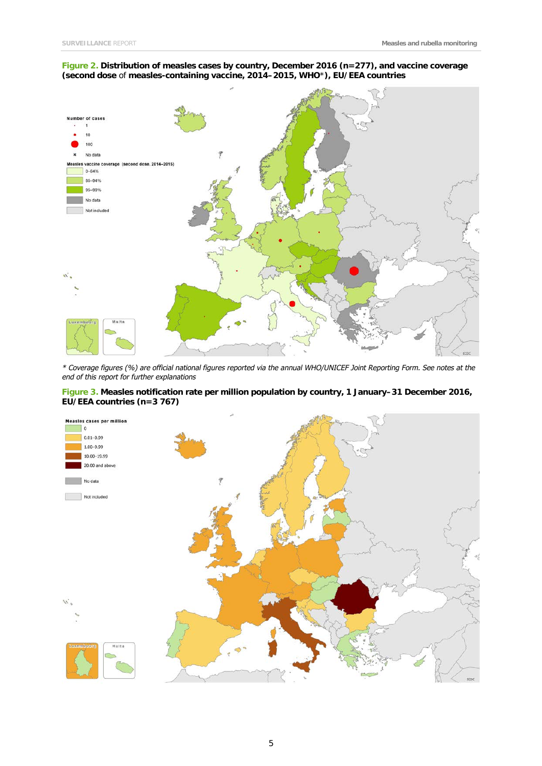#### **Figure 2. Distribution of measles cases by country, December 2016 (n=277), and vaccine coverage (second dose** of **measles-containing vaccine, 2014–2015, WHO**\***), EU/EEA countries**



*\* Coverage figures (%) are official national figures reported via the annual WHO/UNICEF Joint Reporting Form. See notes at the end of this report for further explanations*

#### **Figure 3. Measles notification rate per million population by country, 1 January–31 December 2016, EU/EEA countries (n=3 767)**

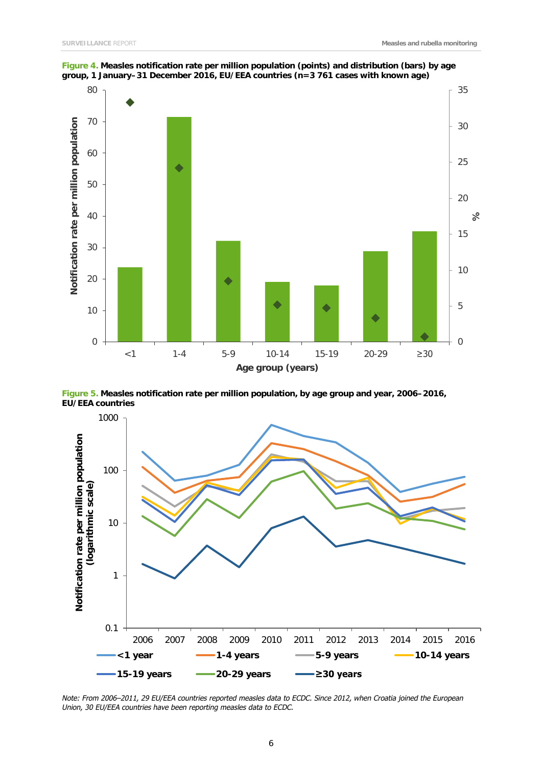

**Figure 4. Measles notification rate per million population (points) and distribution (bars) by age group, 1 January–31 December 2016, EU/EEA countries (n=3 761 cases with known age)**

**Figure 5. Measles notification rate per million population, by age group and year, 2006–2016, EU/EEA countries**



*Note: From 2006–2011, 29 EU/EEA countries reported measles data to ECDC. Since 2012, when Croatia joined the European Union, 30 EU/EEA countries have been reporting measles data to ECDC.*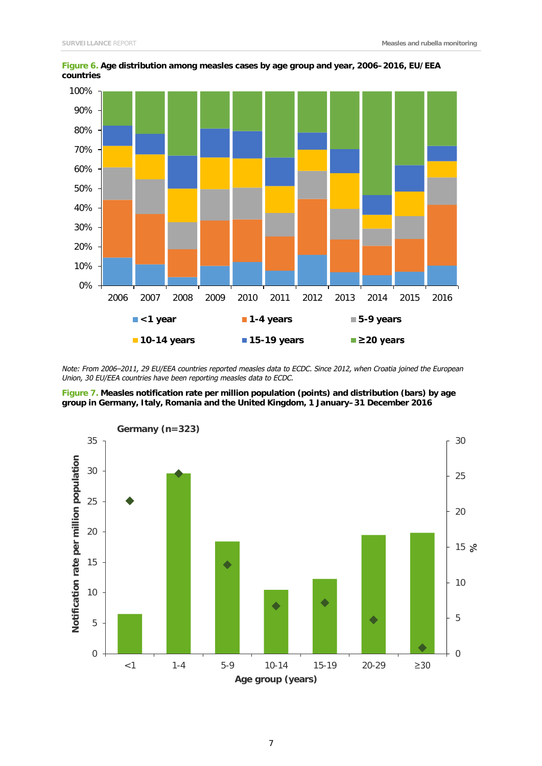

**Figure 6. Age distribution among measles cases by age group and year, 2006–2016, EU/EEA countries**

*Note: From 2006–2011, 29 EU/EEA countries reported measles data to ECDC. Since 2012, when Croatia joined the European Union, 30 EU/EEA countries have been reporting measles data to ECDC.* 

**Figure 7. Measles notification rate per million population (points) and distribution (bars) by age group in Germany, Italy, Romania and the United Kingdom, 1 January–31 December 2016**

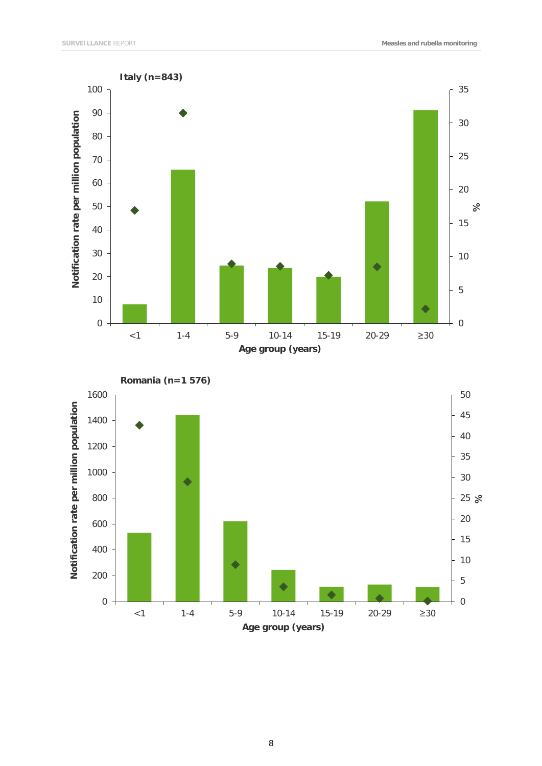

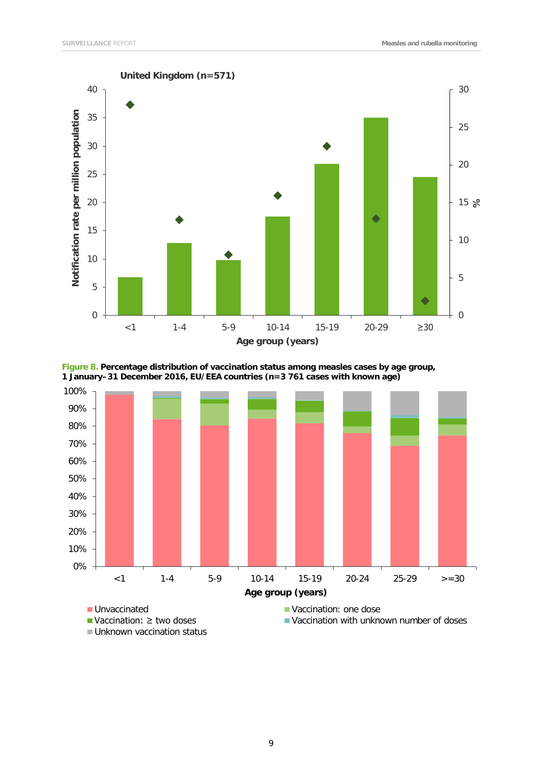

**Figure 8. Percentage distribution of vaccination status among measles cases by age group, 1 January–31 December 2016, EU/EEA countries (n=3 761 cases with known age)**

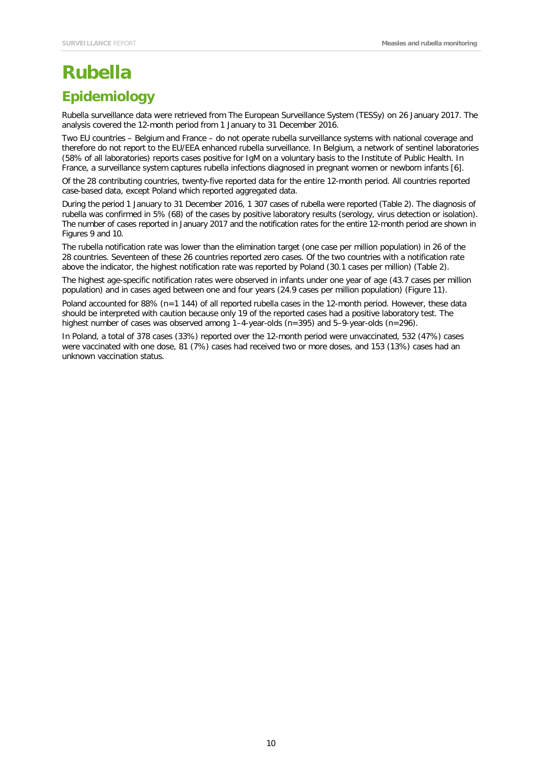# **Rubella**

## **Epidemiology**

Rubella surveillance data were retrieved from The European Surveillance System (TESSy) on 26 January 2017. The analysis covered the 12-month period from 1 January to 31 December 2016.

Two EU countries – Belgium and France – do not operate rubella surveillance systems with national coverage and therefore do not report to the EU/EEA enhanced rubella surveillance. In Belgium, a network of sentinel laboratories (58% of all laboratories) reports cases positive for IgM on a voluntary basis to the Institute of Public Health. In France, a surveillance system captures rubella infections diagnosed in pregnant women or newborn infants [6].

Of the 28 contributing countries, twenty-five reported data for the entire 12-month period. All countries reported case-based data, except Poland which reported aggregated data.

During the period 1 January to 31 December 2016, 1 307 cases of rubella were reported (Table 2). The diagnosis of rubella was confirmed in 5% (68) of the cases by positive laboratory results (serology, virus detection or isolation). The number of cases reported in January 2017 and the notification rates for the entire 12-month period are shown in Figures 9 and 10.

The rubella notification rate was lower than the elimination target (one case per million population) in 26 of the 28 countries. Seventeen of these 26 countries reported zero cases. Of the two countries with a notification rate above the indicator, the highest notification rate was reported by Poland (30.1 cases per million) (Table 2).

The highest age-specific notification rates were observed in infants under one year of age (43.7 cases per million population) and in cases aged between one and four years (24.9 cases per million population) (Figure 11).

Poland accounted for 88% (n=1 144) of all reported rubella cases in the 12-month period. However, these data should be interpreted with caution because only 19 of the reported cases had a positive laboratory test. The highest number of cases was observed among 1–4-year-olds (n=395) and 5–9-year-olds (n=296).

In Poland, a total of 378 cases (33%) reported over the 12-month period were unvaccinated, 532 (47%) cases were vaccinated with one dose, 81 (7%) cases had received two or more doses, and 153 (13%) cases had an unknown vaccination status.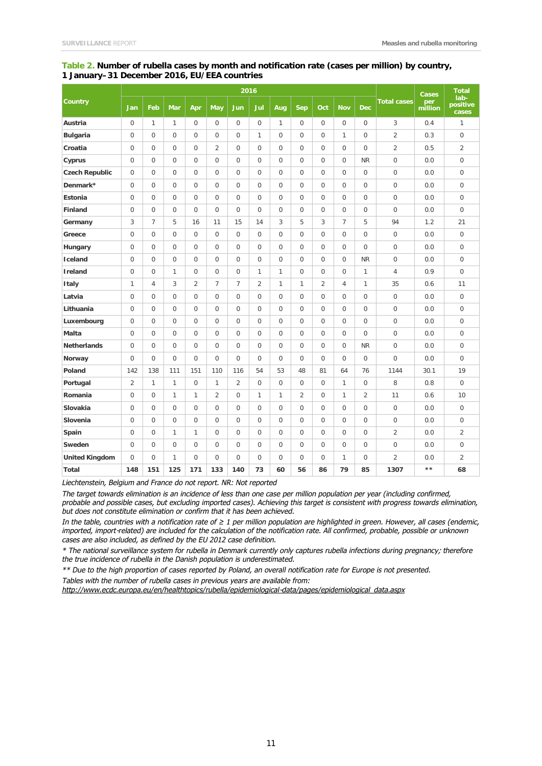#### **Table 2. Number of rubella cases by month and notification rate (cases per million) by country, 1 January–31 December 2016, EU/EEA countries**

|                       | 2016           |                |                  |                  |                |                |                |                |                |                |                | <b>Cases</b>        | <b>Total</b>       |                |                           |  |
|-----------------------|----------------|----------------|------------------|------------------|----------------|----------------|----------------|----------------|----------------|----------------|----------------|---------------------|--------------------|----------------|---------------------------|--|
| Country               | Jan            | Feb            | <b>Mar</b>       | Apr              | May            | <b>Jun</b>     | Jul            | Aug            | <b>Sep</b>     | Oct            | <b>Nov</b>     | <b>Dec</b>          | <b>Total cases</b> | per<br>million | lab-<br>positive<br>cases |  |
| Austria               | $\mathbf 0$    | $\mathbf{1}$   | $\mathbf{1}$     | $\boldsymbol{0}$ | $\mathbf{0}$   | $\mathbf{0}$   | $\mathbf{0}$   | $\mathbf{1}$   | $\mathbf 0$    | $\mathbf{0}$   | $\mathbf 0$    | $\mathsf{O}\xspace$ | 3                  | 0.4            | 1                         |  |
| <b>Bulgaria</b>       | $\mathbf{0}$   | 0              | $\mathbf 0$      | $\mathbf 0$      | $\mathbf 0$    | $\Omega$       | 1              | $\mathbf 0$    | $\mathbf 0$    | $\mathbf 0$    | 1              | 0                   | $\overline{2}$     | 0.3            | $\mathbf 0$               |  |
| Croatia               | $\mathbf 0$    | 0              | $\boldsymbol{0}$ | $\mathbf 0$      | $\overline{2}$ | $\mathbf 0$    | 0              | $\mathbf 0$    | $\mathbf 0$    | $\mathbf 0$    | $\overline{0}$ | 0                   | $\overline{2}$     | 0.5            | $\overline{2}$            |  |
| Cyprus                | $\mathbf{0}$   | 0              | $\mathbf 0$      | $\mathbf 0$      | $\mathbf 0$    | $\mathbf 0$    | 0              | $\mathbf 0$    | $\mathbf 0$    | $\mathbf 0$    | $\overline{0}$ | <b>NR</b>           | $\overline{0}$     | 0.0            | $\mathbf 0$               |  |
| <b>Czech Republic</b> | $\mathbf 0$    | 0              | $\mathbf 0$      | $\mathbf 0$      | $\mathbf 0$    | $\mathbf 0$    | $\Omega$       | $\mathbf 0$    | $\mathbf 0$    | $\mathbf 0$    | $\overline{0}$ | $\mathbf 0$         | $\mathbf 0$        | 0.0            | $\mathbf 0$               |  |
| Denmark*              | $\mathbf 0$    | 0              | $\mathbf 0$      | $\mathbf 0$      | $\mathbf 0$    | $\overline{0}$ | 0              | $\overline{0}$ | $\overline{0}$ | $\mathbf 0$    | $\overline{0}$ | 0                   | $\boldsymbol{0}$   | 0.0            | $\mathbf 0$               |  |
| <b>Estonia</b>        | $\mathbf 0$    | 0              | $\mathbf 0$      | $\Omega$         | $\Omega$       | $\Omega$       | 0              | $\Omega$       | $\Omega$       | $\Omega$       | $\overline{0}$ | $\mathbf 0$         | $\mathbf 0$        | 0.0            | $\mathbf 0$               |  |
| <b>Finland</b>        | $\mathbf 0$    | 0              | 0                | $\mathbf 0$      | $\mathbf 0$    | $\Omega$       | 0              | $\mathbf 0$    | $\mathbf 0$    | $\mathbf 0$    | $\mathbf 0$    | 0                   | 0                  | 0.0            | $\mathbf 0$               |  |
| Germany               | 3              | 7              | 5                | 16               | 11             | 15             | 14             | 3              | 5              | 3              | $\overline{7}$ | 5                   | 94                 | 1.2            | 21                        |  |
| Greece                | $\overline{0}$ | 0              | $\mathbf 0$      | $\mathbf 0$      | $\mathbf 0$    | $\mathbf{0}$   | 0              | 0              | $\mathbf 0$    | $\mathbf 0$    | $\overline{0}$ | $\overline{0}$      | $\mathbf 0$        | 0.0            | $\mathbf 0$               |  |
| Hungary               | $\mathbf 0$    | $\overline{0}$ | $\mathbf 0$      | $\mathbf 0$      | $\mathbf 0$    | $\mathbf 0$    | 0              | $\mathbf 0$    | $\mathbf 0$    | $\mathbf 0$    | $\overline{0}$ | $\mathbf 0$         | $\mathbf 0$        | 0.0            | $\mathbf 0$               |  |
| Iceland               | $\overline{0}$ | 0              | $\mathbf 0$      | $\Omega$         | $\Omega$       | $\Omega$       | $\Omega$       | $\Omega$       | $\Omega$       | $\mathbf 0$    | $\overline{0}$ | <b>NR</b>           | $\mathbf 0$        | 0.0            | $\mathbf 0$               |  |
| <b>Ireland</b>        | $\mathbf 0$    | 0              | 1                | $\mathbf 0$      | $\Omega$       | $\Omega$       | $\mathbf{1}$   | $\mathbf{1}$   | $\Omega$       | $\mathbf 0$    | $\overline{0}$ | 1                   | 4                  | 0.9            | $\overline{0}$            |  |
| <b>Italy</b>          | 1              | $\overline{4}$ | 3                | $\overline{2}$   | $\overline{7}$ | 7              | $\overline{2}$ | $\mathbf{1}$   | $\mathbf{1}$   | $\overline{2}$ | $\overline{4}$ | 1                   | 35                 | 0.6            | 11                        |  |
| Latvia                | $\mathbf 0$    | 0              | $\mathbf 0$      | $\mathbf 0$      | $\mathbf 0$    | $\mathbf 0$    | 0              | $\mathbf 0$    | $\mathbf 0$    | $\mathbf{0}$   | $\overline{0}$ | 0                   | $\mathbf 0$        | 0.0            | $\mathbf 0$               |  |
| Lithuania             | $\mathbf 0$    | 0              | 0                | $\mathbf 0$      | $\mathbf 0$    | $\mathbf{0}$   | 0              | $\mathbf 0$    | $\mathbf 0$    | $\mathbf 0$    | $\overline{0}$ | 0                   | $\mathbf 0$        | 0.0            | $\mathbf 0$               |  |
| Luxembourg            | $\mathbf 0$    | 0              | 0                | $\mathbf 0$      | $\mathbf 0$    | $\mathbf 0$    | 0              | 0              | $\mathbf 0$    | $\mathbf 0$    | $\overline{0}$ | 0                   | $\mathbf 0$        | 0.0            | $\mathbf 0$               |  |
| Malta                 | $\mathbf 0$    | 0              | $\mathbf 0$      | $\mathbf 0$      | $\mathbf 0$    | $\mathbf 0$    | 0              | $\mathbf 0$    | $\mathbf 0$    | $\mathbf 0$    | $\overline{0}$ | $\mathbf 0$         | $\mathbf 0$        | 0.0            | $\mathbf 0$               |  |
| <b>Netherlands</b>    | $\mathbf 0$    | 0              | $\overline{0}$   | $\mathbf 0$      | $\mathbf 0$    | $\mathbf 0$    | 0              | $\mathbf 0$    | $\mathbf 0$    | $\mathbf 0$    | $\overline{0}$ | <b>NR</b>           | $\mathbf 0$        | 0.0            | $\mathbf 0$               |  |
| Norway                | $\mathbf 0$    | 0              | $\mathbf 0$      | $\mathbf 0$      | $\mathbf 0$    | $\Omega$       | 0              | $\mathbf 0$    | $\mathbf 0$    | $\mathbf 0$    | $\overline{0}$ | $\mathbf 0$         | $\mathbf 0$        | 0.0            | $\mathbf 0$               |  |
| Poland                | 142            | 138            | 111              | 151              | 110            | 116            | 54             | 53             | 48             | 81             | 64             | 76                  | 1144               | 30.1           | 19                        |  |
| Portugal              | $\overline{2}$ | 1              | 1                | $\mathbf 0$      | 1              | $\overline{2}$ | 0              | $\mathbf 0$    | $\mathbf 0$    | $\mathbf 0$    | $\mathbf{1}$   | 0                   | 8                  | 0.8            | $\overline{0}$            |  |
| Romania               | $\mathbf 0$    | 0              | 1                | $\mathbf{1}$     | $\overline{2}$ | $\mathbf 0$    | 1              | 1              | 2              | $\mathbf 0$    | 1              | $\overline{2}$      | 11                 | 0.6            | 10                        |  |
| Slovakia              | $\mathbf 0$    | 0              | $\overline{0}$   | $\mathbf 0$      | $\mathbf 0$    | $\overline{0}$ | 0              | $\mathbf 0$    | $\mathbf 0$    | $\mathbf 0$    | $\overline{0}$ | $\mathsf{O}\xspace$ | $\overline{0}$     | 0.0            | $\overline{0}$            |  |
| Slovenia              | $\mathbf{0}$   | 0              | 0                | $\mathbf 0$      | $\mathbf 0$    | $\mathbf 0$    | 0              | $\mathbf 0$    | $\mathbf 0$    | $\mathbf 0$    | $\overline{0}$ | 0                   | $\mathbf 0$        | 0.0            | $\mathbf 0$               |  |
| Spain                 | $\mathbf 0$    | 0              | $\mathbf{1}$     | $\mathbf{1}$     | $\mathbf 0$    | $\mathbf 0$    | 0              | $\mathbf 0$    | $\mathbf 0$    | $\mathbf 0$    | $\mathbf 0$    | 0                   | $\overline{2}$     | 0.0            | $\overline{2}$            |  |
| Sweden                | $\mathbf 0$    | $\overline{0}$ | 0                | $\mathbf 0$      | $\mathbf 0$    | $\mathbf 0$    | 0              | $\mathbf 0$    | $\mathbf 0$    | $\mathbf 0$    | $\overline{0}$ | $\mathsf 0$         | $\overline{0}$     | 0.0            | $\overline{0}$            |  |
| <b>United Kingdom</b> | $\Omega$       | 0              | 1                | $\Omega$         | $\Omega$       | $\Omega$       | $\Omega$       | $\Omega$       | $\Omega$       | $\Omega$       | 1              | 0                   | $\overline{2}$     | 0.0            | $\overline{2}$            |  |
| Total                 | 148            | 151            | 125              | 171              | 133            | 140            | 73             | 60             | 56             | 86             | 79             | 85                  | 1307               | $* *$          | 68                        |  |

*Liechtenstein, Belgium and France do not report. NR: Not reported*

*The target towards elimination is an incidence of less than one case per million population per year (including confirmed, probable and possible cases, but excluding imported cases). Achieving this target is consistent with progress towards elimination, but does not constitute elimination or confirm that it has been achieved.* 

*In the table, countries with a notification rate of ≥ 1 per million population are highlighted in green. However, all cases (endemic, imported, import-related) are included for the calculation of the notification rate. All confirmed, probable, possible or unknown cases are also included, as defined by the EU 2012 case definition.* 

*\* The national surveillance system for rubella in Denmark currently only captures rubella infections during pregnancy; therefore the true incidence of rubella in the Danish population is underestimated.*

*\*\* Due to the high proportion of cases reported by Poland, an overall notification rate for Europe is not presented.*

*Tables with the number of rubella cases in previous years are available from:* 

*[http://www.ecdc.europa.eu/en/healthtopics/rubella/epidemiological-data/pages/epidemiological\\_data.aspx](http://www.ecdc.europa.eu/en/healthtopics/rubella/epidemiological-data/pages/epidemiological_data.aspx)*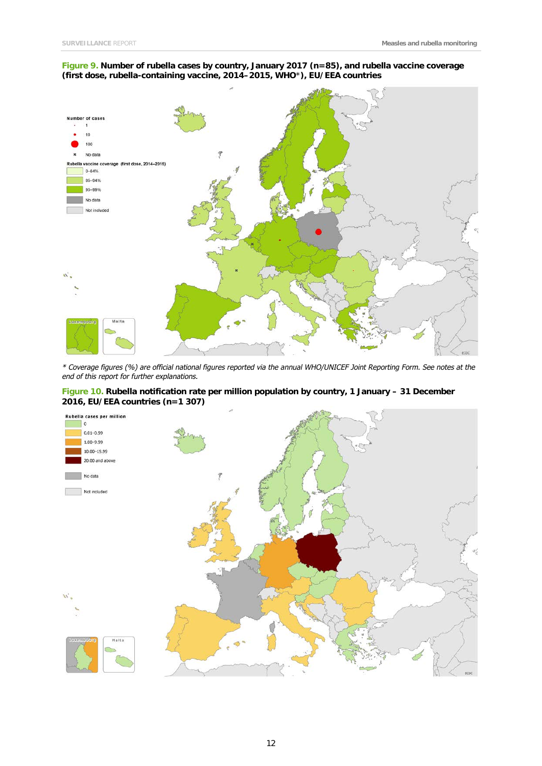#### **Figure 9. Number of rubella cases by country, January 2017 (n=85), and rubella vaccine coverage (first dose, rubella-containing vaccine, 2014–2015, WHO**\***), EU/EEA countries**



*\* Coverage figures (%) are official national figures reported via the annual WHO/UNICEF Joint Reporting Form. See notes at the end of this report for further explanations.*

#### **Figure 10. Rubella notification rate per million population by country, 1 January – 31 December 2016, EU/EEA countries (n=1 307)**

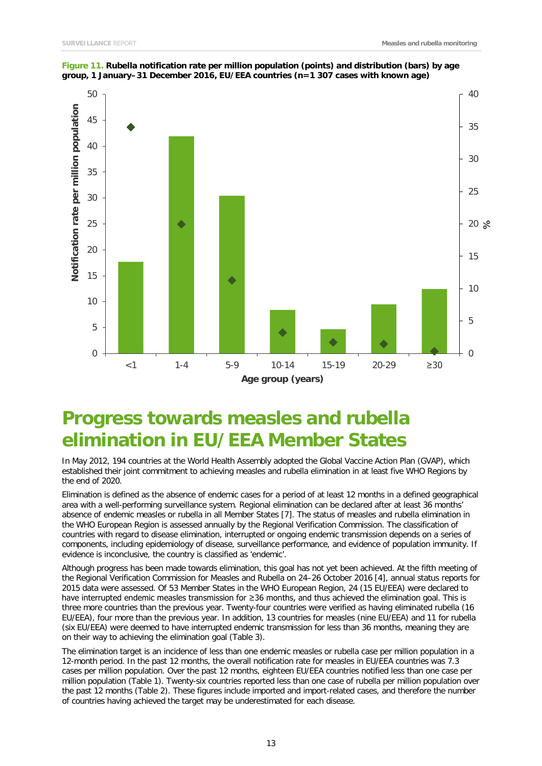

**Figure 11. Rubella notification rate per million population (points) and distribution (bars) by age group, 1 January–31 December 2016, EU/EEA countries (n=1 307 cases with known age)**

## **Progress towards measles and rubella elimination in EU/EEA Member States**

In May 2012, 194 countries at the World Health Assembly adopted the Global Vaccine Action Plan (GVAP), which established their joint commitment to achieving measles and rubella elimination in at least five WHO Regions by the end of 2020.

Elimination is defined as the absence of endemic cases for a period of at least 12 months in a defined geographical area with a well-performing surveillance system. Regional elimination can be declared after at least 36 months' absence of endemic measles or rubella in all Member States [7]. The status of measles and rubella elimination in the WHO European Region is assessed annually by the Regional Verification Commission. The classification of countries with regard to disease elimination, interrupted or ongoing endemic transmission depends on a series of components, including epidemiology of disease, surveillance performance, and evidence of population immunity. If evidence is inconclusive, the country is classified as 'endemic'.

Although progress has been made towards elimination, this goal has not yet been achieved. At the [fifth meeting](http://www.euro.who.int/en/health-topics/communicable-diseases/measles-and-rubella/publications/2017/5th-meeting-of-the-european-regional-verification-commission-for-measles-and-rubella-elimination-2017) of the Regional Verification Commission for Measles and Rubella on 24–26 October 2016 [4], annual status reports for 2015 data were assessed. Of 53 Member States in the WHO European Region, 24 (15 EU/EEA) were declared to have interrupted endemic measles transmission for ≥36 months, and thus achieved the elimination goal. This is three more countries than the previous year. Twenty-four countries were verified as having eliminated rubella (16 EU/EEA), four more than the previous year. In addition, 13 countries for measles (nine EU/EEA) and 11 for rubella (six EU/EEA) were deemed to have interrupted endemic transmission for less than 36 months, meaning they are on their way to achieving the elimination goal (Table 3).

The elimination target is an incidence of less than one endemic measles or rubella case per million population in a 12-month period. In the past 12 months, the overall notification rate for measles in EU/EEA countries was 7.3 cases per million population. Over the past 12 months, eighteen EU/EEA countries notified less than one case per million population (Table 1). Twenty-six countries reported less than one case of rubella per million population over the past 12 months (Table 2). These figures include imported and import-related cases, and therefore the number of countries having achieved the target may be underestimated for each disease.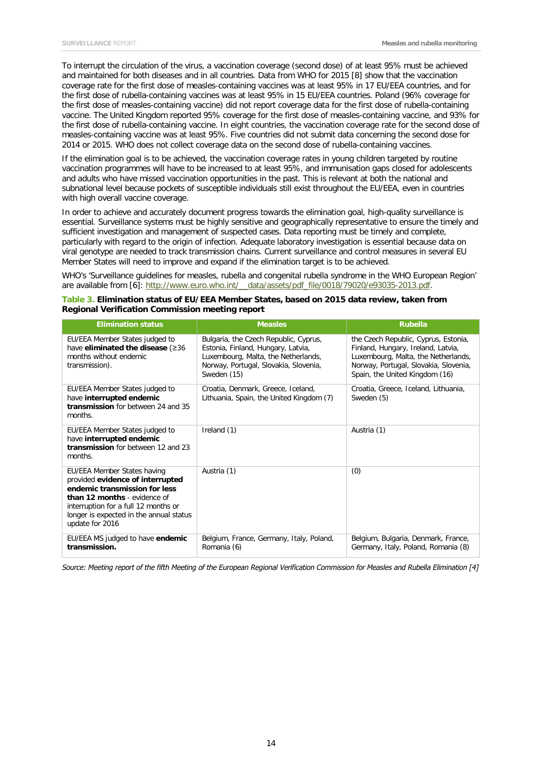To interrupt the circulation of the virus, a vaccination coverage (second dose) of at least 95% must be achieved and maintained for both diseases and in all countries. Data from WHO for 2015 [8] show that the vaccination coverage rate for the first dose of measles-containing vaccines was at least 95% in 17 EU/EEA countries, and for the first dose of rubella-containing vaccines was at least 95% in 15 EU/EEA countries. Poland (96% coverage for the first dose of measles-containing vaccine) did not report coverage data for the first dose of rubella-containing vaccine. The United Kingdom reported 95% coverage for the first dose of measles-containing vaccine, and 93% for the first dose of rubella-containing vaccine. In eight countries, the vaccination coverage rate for the second dose of measles-containing vaccine was at least 95%. Five countries did not submit data concerning the second dose for 2014 or 2015. WHO does not collect coverage data on the second dose of rubella-containing vaccines.

If the elimination goal is to be achieved, the vaccination coverage rates in young children targeted by routine vaccination programmes will have to be increased to at least 95%, and immunisation gaps closed for adolescents and adults who have missed vaccination opportunities in the past. This is relevant at both the national and subnational level because pockets of susceptible individuals still exist throughout the EU/EEA, even in countries with high overall vaccine coverage.

In order to achieve and accurately document progress towards the elimination goal, high-quality surveillance is essential. Surveillance systems must be highly sensitive and geographically representative to ensure the timely and sufficient investigation and management of suspected cases. Data reporting must be timely and complete, particularly with regard to the origin of infection. Adequate laboratory investigation is essential because data on viral genotype are needed to track transmission chains. Current surveillance and control measures in several EU Member States will need to improve and expand if the elimination target is to be achieved.

WHO's 'Surveillance guidelines for measles, rubella and congenital rubella syndrome in the WHO European Region' are available from [6]: http://www.euro.who.int/ data/assets/pdf file/0018/79020/e93035-2013.pdf.

|  | Table 3. Elimination status of EU/EEA Member States, based on 2015 data review, taken from |  |  |  |
|--|--------------------------------------------------------------------------------------------|--|--|--|
|  | <b>Regional Verification Commission meeting report</b>                                     |  |  |  |

| <b>Elimination status</b>                                                                                                                                                                                                              | <b>Measles</b>                                                                                                                                                             | <b>Rubella</b>                                                                                                                                                                               |
|----------------------------------------------------------------------------------------------------------------------------------------------------------------------------------------------------------------------------------------|----------------------------------------------------------------------------------------------------------------------------------------------------------------------------|----------------------------------------------------------------------------------------------------------------------------------------------------------------------------------------------|
| EU/EEA Member States judged to<br>have eliminated the disease (≥36<br>months without endemic<br>transmission).                                                                                                                         | Bulgaria, the Czech Republic, Cyprus,<br>Estonia, Finland, Hungary, Latvia,<br>Luxembourg, Malta, the Netherlands,<br>Norway, Portugal, Slovakia, Slovenia,<br>Sweden (15) | the Czech Republic, Cyprus, Estonia,<br>Finland, Hungary, Ireland, Latvia,<br>Luxembourg, Malta, the Netherlands,<br>Norway, Portugal, Slovakia, Slovenia,<br>Spain, the United Kingdom (16) |
| EU/EEA Member States judged to<br>have interrupted endemic<br>transmission for between 24 and 35<br>months.                                                                                                                            | Croatia, Denmark, Greece, Iceland,<br>Lithuania, Spain, the United Kingdom (7)                                                                                             | Croatia, Greece, Iceland, Lithuania,<br>Sweden (5)                                                                                                                                           |
| EU/EEA Member States judged to<br>have interrupted endemic<br>transmission for between 12 and 23<br>months.                                                                                                                            | Ireland (1)                                                                                                                                                                | Austria (1)                                                                                                                                                                                  |
| EU/EEA Member States having<br>provided evidence of interrupted<br>endemic transmission for less<br>than 12 months - evidence of<br>interruption for a full 12 months or<br>longer is expected in the annual status<br>update for 2016 | Austria (1)                                                                                                                                                                | (0)                                                                                                                                                                                          |
| EU/EEA MS judged to have endemic<br>transmission.                                                                                                                                                                                      | Belgium, France, Germany, Italy, Poland,<br>Romania (6)                                                                                                                    | Belgium, Bulgaria, Denmark, France,<br>Germany, Italy, Poland, Romania (8)                                                                                                                   |

*Source: Meeting report of the fifth Meeting of the European Regional Verification Commission for Measles and Rubella Elimination [4]*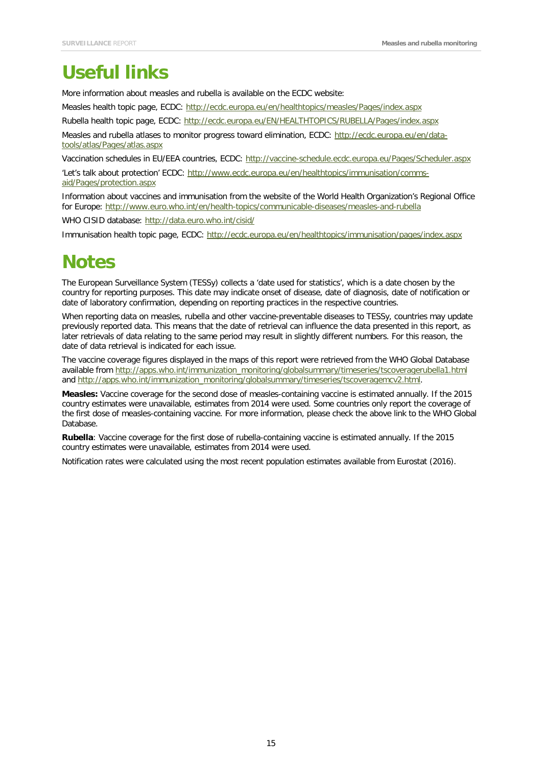## **Useful links**

More information about measles and rubella is available on the ECDC website:

Measles health topic page, ECDC:<http://ecdc.europa.eu/en/healthtopics/measles/Pages/index.aspx>

Rubella health topic page, ECDC:<http://ecdc.europa.eu/EN/HEALTHTOPICS/RUBELLA/Pages/index.aspx>

Measles and rubella atlases to monitor progress toward elimination, ECDC: [http://ecdc.europa.eu/en/data](http://ecdc.europa.eu/en/data-tools/atlas/Pages/atlas.aspx)[tools/atlas/Pages/atlas.aspx](http://ecdc.europa.eu/en/data-tools/atlas/Pages/atlas.aspx)

Vaccination schedules in EU/EEA countries, ECDC:<http://vaccine-schedule.ecdc.europa.eu/Pages/Scheduler.aspx>

'Let's talk about protection' ECDC: [http://www.ecdc.europa.eu/en/healthtopics/immunisation/comms](http://www.ecdc.europa.eu/en/healthtopics/immunisation/comms-aid/Pages/protection.aspx)[aid/Pages/protection.aspx](http://www.ecdc.europa.eu/en/healthtopics/immunisation/comms-aid/Pages/protection.aspx)

Information about vaccines and immunisation from the website of the World Health Organization's Regional Office for Europe:<http://www.euro.who.int/en/health-topics/communicable-diseases/measles-and-rubella>

WHO CISID database:<http://data.euro.who.int/cisid/>

Immunisation health topic page, ECDC:<http://ecdc.europa.eu/en/healthtopics/immunisation/pages/index.aspx>

## **Notes**

The European Surveillance System (TESSy) collects a 'date used for statistics', which is a date chosen by the country for reporting purposes. This date may indicate onset of disease, date of diagnosis, date of notification or date of laboratory confirmation, depending on reporting practices in the respective countries.

When reporting data on measles, rubella and other vaccine-preventable diseases to TESSy, countries may update previously reported data. This means that the date of retrieval can influence the data presented in this report, as later retrievals of data relating to the same period may result in slightly different numbers. For this reason, the date of data retrieval is indicated for each issue.

The vaccine coverage figures displayed in the maps of this report were retrieved from the WHO Global Database available from [http://apps.who.int/immunization\\_monitoring/globalsummary/timeseries/tscoveragerubella1.html](http://apps.who.int/immunization_monitoring/globalsummary/timeseries/tscoveragerubella1.html)  and [http://apps.who.int/immunization\\_monitoring/globalsummary/timeseries/tscoveragemcv2.html.](http://apps.who.int/immunization_monitoring/globalsummary/timeseries/tscoveragemcv2.html)

**Measles:** Vaccine coverage for the second dose of measles-containing vaccine is estimated annually. If the 2015 country estimates were unavailable, estimates from 2014 were used. Some countries only report the coverage of the first dose of measles-containing vaccine. For more information, please check the above link to the WHO Global Database.

**Rubella**: Vaccine coverage for the first dose of rubella-containing vaccine is estimated annually. If the 2015 country estimates were unavailable, estimates from 2014 were used.

Notification rates were calculated using the most recent population estimates available from Eurostat (2016).